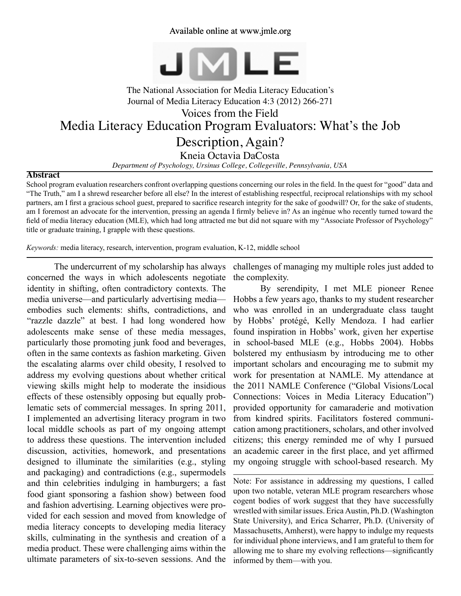## Available online at www.jmle.org



# The National Association for Media Literacy Education's Journal of Media Literacy Education 4:3 (2012) 266-271 Media Literacy Education Program Evaluators: What's the Job Description, Again? Kneia Octavia DaCosta Voices from the Field

*Department of Psychology, Ursinus College, Collegeville, Pennsylvania, USA*

#### **Abstract**

School program evaluation researchers confront overlapping questions concerning our roles in the field. In the quest for "good" data and "The Truth," am I a shrewd researcher before all else? In the interest of establishing respectful, reciprocal relationships with my school partners, am I first a gracious school guest, prepared to sacrifice research integrity for the sake of goodwill? Or, for the sake of students, am I foremost an advocate for the intervention, pressing an agenda I firmly believe in? As an ingénue who recently turned toward the field of media literacy education (MLE), which had long attracted me but did not square with my "Associate Professor of Psychology" title or graduate training, I grapple with these questions.

*Keywords:* media literacy, research, intervention, program evaluation, K-12, middle school

The undercurrent of my scholarship has always concerned the ways in which adolescents negotiate identity in shifting, often contradictory contexts. The media universe—and particularly advertising media embodies such elements: shifts, contradictions, and "razzle dazzle" at best. I had long wondered how adolescents make sense of these media messages, particularly those promoting junk food and beverages, often in the same contexts as fashion marketing. Given the escalating alarms over child obesity, I resolved to address my evolving questions about whether critical viewing skills might help to moderate the insidious effects of these ostensibly opposing but equally problematic sets of commercial messages. In spring 2011, I implemented an advertising literacy program in two local middle schools as part of my ongoing attempt to address these questions. The intervention included discussion, activities, homework, and presentations designed to illuminate the similarities (e.g., styling and packaging) and contradictions (e.g., supermodels and thin celebrities indulging in hamburgers; a fast food giant sponsoring a fashion show) between food and fashion advertising. Learning objectives were provided for each session and moved from knowledge of media literacy concepts to developing media literacy skills, culminating in the synthesis and creation of a media product. These were challenging aims within the ultimate parameters of six-to-seven sessions. And the

challenges of managing my multiple roles just added to the complexity.

By serendipity, I met MLE pioneer Renee Hobbs a few years ago, thanks to my student researcher who was enrolled in an undergraduate class taught by Hobbs' protégé, Kelly Mendoza. I had earlier found inspiration in Hobbs' work, given her expertise in school-based MLE (e.g., Hobbs 2004). Hobbs bolstered my enthusiasm by introducing me to other important scholars and encouraging me to submit my work for presentation at NAMLE. My attendance at the 2011 NAMLE Conference ("Global Visions/Local Connections: Voices in Media Literacy Education") provided opportunity for camaraderie and motivation from kindred spirits. Facilitators fostered communication among practitioners, scholars, and other involved citizens; this energy reminded me of why I pursued an academic career in the first place, and yet affirmed my ongoing struggle with school-based research. My

Note: For assistance in addressing my questions, I called upon two notable, veteran MLE program researchers whose cogent bodies of work suggest that they have successfully wrestled with similar issues. Erica Austin, Ph.D. (Washington State University), and Erica Scharrer, Ph.D. (University of Massachusetts, Amherst), were happy to indulge my requests for individual phone interviews, and I am grateful to them for allowing me to share my evolving reflections—significantly informed by them—with you.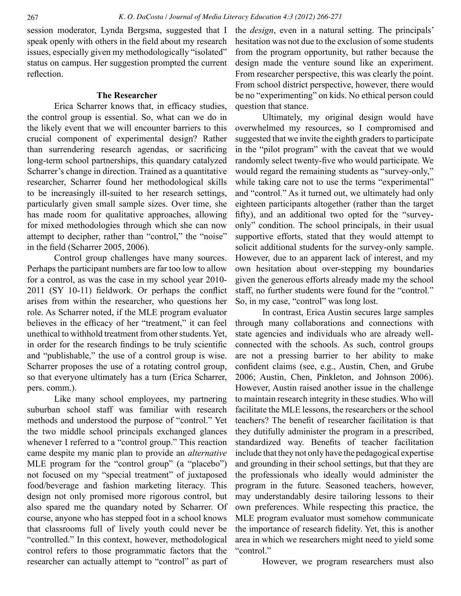session moderator, Lynda Bergsma, suggested that I speak openly with others in the field about my research issues, especially given my methodologically "isolated" status on campus. Her suggestion prompted the current reflection.

#### **The Researcher**

Erica Scharrer knows that, in efficacy studies, the control group is essential. So, what can we do in the likely event that we will encounter barriers to this crucial component of experimental design? Rather than surrendering research agendas, or sacrificing long-term school partnerships, this quandary catalyzed Scharrer's change in direction. Trained as a quantitative researcher, Scharrer found her methodological skills to be increasingly ill-suited to her research settings, particularly given small sample sizes. Over time, she has made room for qualitative approaches, allowing for mixed methodologies through which she can now attempt to decipher, rather than "control," the "noise" in the field (Scharrer 2005, 2006).

Control group challenges have many sources. Perhaps the participant numbers are far too low to allow for a control, as was the case in my school year 2010- 2011 (SY 10-11) fieldwork. Or perhaps the conflict arises from within the researcher, who questions her role. As Scharrer noted, if the MLE program evaluator believes in the efficacy of her "treatment," it can feel unethical to withhold treatment from other students. Yet, in order for the research findings to be truly scientific and "publishable," the use of a control group is wise. Scharrer proposes the use of a rotating control group, so that everyone ultimately has a turn (Erica Scharrer, pers. comm.).

Like many school employees, my partnering suburban school staff was familiar with research methods and understood the purpose of "control." Yet the two middle school principals exchanged glances whenever I referred to a "control group." This reaction came despite my manic plan to provide an *alternative* MLE program for the "control group" (a "placebo") not focused on my "special treatment" of juxtaposed food/beverage and fashion marketing literacy. This design not only promised more rigorous control, but also spared me the quandary noted by Scharrer. Of course, anyone who has stepped foot in a school knows that classrooms full of lively youth could never be "controlled." In this context, however, methodological control refers to those programmatic factors that the researcher can actually attempt to "control" as part of

the *design*, even in a natural setting. The principals' hesitation was not due to the exclusion of some students from the program opportunity, but rather because the design made the venture sound like an experiment. From researcher perspective, this was clearly the point. From school district perspective, however, there would be no "experimenting" on kids. No ethical person could question that stance.

Ultimately, my original design would have overwhelmed my resources, so I compromised and suggested that we invite the eighth graders to participate in the "pilot program" with the caveat that we would randomly select twenty-five who would participate. We would regard the remaining students as "survey-only," while taking care not to use the terms "experimental" and "control." As it turned out, we ultimately had only eighteen participants altogether (rather than the target fifty), and an additional two opted for the "surveyonly" condition. The school principals, in their usual supportive efforts, stated that they would attempt to solicit additional students for the survey-only sample. However, due to an apparent lack of interest, and my own hesitation about over-stepping my boundaries given the generous efforts already made my the school staff, no further students were found for the "control." So, in my case, "control" was long lost.

In contrast, Erica Austin secures large samples through many collaborations and connections with state agencies and individuals who are already wellconnected with the schools. As such, control groups are not a pressing barrier to her ability to make confident claims (see, e.g., Austin, Chen, and Grube 2006; Austin, Chen, Pinkleton, and Johnson 2006). However, Austin raised another issue in the challenge to maintain research integrity in these studies. Who will facilitate the MLE lessons, the researchers or the school teachers? The benefit of researcher facilitation is that they dutifully administer the program in a prescribed, standardized way. Benefits of teacher facilitation include that they not only have the pedagogical expertise and grounding in their school settings, but that they are the professionals who ideally would administer the program in the future. Seasoned teachers, however, may understandably desire tailoring lessons to their own preferences. While respecting this practice, the MLE program evaluator must somehow communicate the importance of research fidelity. Yet, this is another area in which we researchers might need to yield some "control."

However, we program researchers must also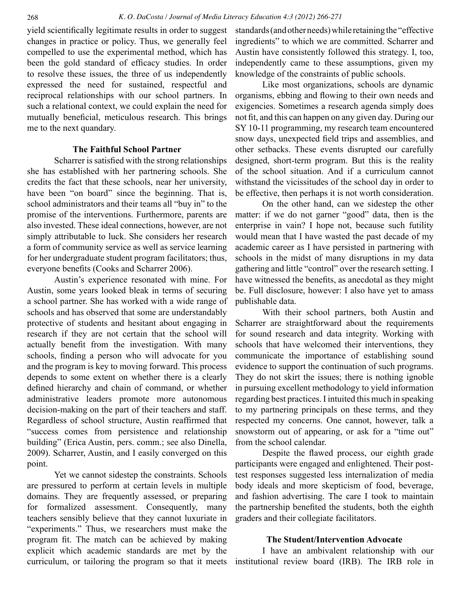yield scientifically legitimate results in order to suggest changes in practice or policy. Thus, we generally feel compelled to use the experimental method, which has been the gold standard of efficacy studies. In order to resolve these issues, the three of us independently expressed the need for sustained, respectful and reciprocal relationships with our school partners. In such a relational context, we could explain the need for mutually beneficial, meticulous research. This brings me to the next quandary.

# **The Faithful School Partner**

Scharrer is satisfied with the strong relationships she has established with her partnering schools. She credits the fact that these schools, near her university, have been "on board" since the beginning. That is, school administrators and their teams all "buy in" to the promise of the interventions. Furthermore, parents are also invested. These ideal connections, however, are not simply attributable to luck. She considers her research a form of community service as well as service learning for her undergraduate student program facilitators; thus, everyone benefits (Cooks and Scharrer 2006).

Austin's experience resonated with mine. For Austin, some years looked bleak in terms of securing a school partner. She has worked with a wide range of schools and has observed that some are understandably protective of students and hesitant about engaging in research if they are not certain that the school will actually benefit from the investigation. With many schools, finding a person who will advocate for you and the program is key to moving forward. This process depends to some extent on whether there is a clearly defined hierarchy and chain of command, or whether administrative leaders promote more autonomous decision-making on the part of their teachers and staff. Regardless of school structure, Austin reaffirmed that "success comes from persistence and relationship building" (Erica Austin, pers. comm.; see also Dinella, 2009). Scharrer, Austin, and I easily converged on this point.

Yet we cannot sidestep the constraints. Schools are pressured to perform at certain levels in multiple domains. They are frequently assessed, or preparing for formalized assessment. Consequently, many teachers sensibly believe that they cannot luxuriate in "experiments." Thus, we researchers must make the program fit. The match can be achieved by making explicit which academic standards are met by the curriculum, or tailoring the program so that it meets

standards (and other needs) while retaining the "effective ingredients" to which we are committed. Scharrer and Austin have consistently followed this strategy. I, too, independently came to these assumptions, given my knowledge of the constraints of public schools.

Like most organizations, schools are dynamic organisms, ebbing and flowing to their own needs and exigencies. Sometimes a research agenda simply does not fit, and this can happen on any given day. During our SY 10-11 programming, my research team encountered snow days, unexpected field trips and assemblies, and other setbacks. These events disrupted our carefully designed, short-term program. But this is the reality of the school situation. And if a curriculum cannot withstand the vicissitudes of the school day in order to be effective, then perhaps it is not worth consideration.

On the other hand, can we sidestep the other matter: if we do not garner "good" data, then is the enterprise in vain? I hope not, because such futility would mean that I have wasted the past decade of my academic career as I have persisted in partnering with schools in the midst of many disruptions in my data gathering and little "control" over the research setting. I have witnessed the benefits, as anecdotal as they might be. Full disclosure, however: I also have yet to amass publishable data.

With their school partners, both Austin and Scharrer are straightforward about the requirements for sound research and data integrity. Working with schools that have welcomed their interventions, they communicate the importance of establishing sound evidence to support the continuation of such programs. They do not skirt the issues; there is nothing ignoble in pursuing excellent methodology to yield information regarding best practices. I intuited this much in speaking to my partnering principals on these terms, and they respected my concerns. One cannot, however, talk a snowstorm out of appearing, or ask for a "time out" from the school calendar.

Despite the flawed process, our eighth grade participants were engaged and enlightened. Their posttest responses suggested less internalization of media body ideals and more skepticism of food, beverage, and fashion advertising. The care I took to maintain the partnership benefited the students, both the eighth graders and their collegiate facilitators.

# **The Student/Intervention Advocate**

I have an ambivalent relationship with our institutional review board (IRB). The IRB role in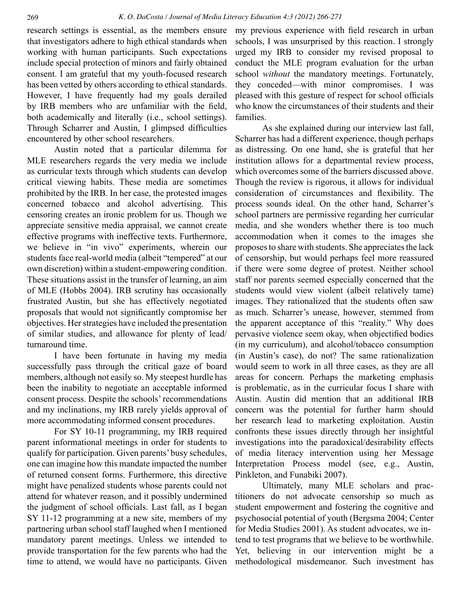research settings is essential, as the members ensure that investigators adhere to high ethical standards when working with human participants. Such expectations include special protection of minors and fairly obtained consent. I am grateful that my youth-focused research has been vetted by others according to ethical standards. However, I have frequently had my goals derailed by IRB members who are unfamiliar with the field, both academically and literally (i.e., school settings). Through Scharrer and Austin, I glimpsed difficulties encountered by other school researchers.

Austin noted that a particular dilemma for MLE researchers regards the very media we include as curricular texts through which students can develop critical viewing habits. These media are sometimes prohibited by the IRB. In her case, the protested images concerned tobacco and alcohol advertising. This censoring creates an ironic problem for us. Though we appreciate sensitive media appraisal, we cannot create effective programs with ineffective texts. Furthermore, we believe in "in vivo" experiments, wherein our students face real-world media (albeit "tempered" at our own discretion) within a student-empowering condition. These situations assist in the transfer of learning, an aim of MLE (Hobbs 2004). IRB scrutiny has occasionally frustrated Austin, but she has effectively negotiated proposals that would not significantly compromise her objectives. Her strategies have included the presentation of similar studies, and allowance for plenty of lead/ turnaround time.

I have been fortunate in having my media successfully pass through the critical gaze of board members, although not easily so. My steepest hurdle has been the inability to negotiate an acceptable informed consent process. Despite the schools' recommendations and my inclinations, my IRB rarely yields approval of more accommodating informed consent procedures.

For SY 10-11 programming, my IRB required parent informational meetings in order for students to qualify for participation. Given parents' busy schedules, one can imagine how this mandate impacted the number of returned consent forms. Furthermore, this directive might have penalized students whose parents could not attend for whatever reason, and it possibly undermined the judgment of school officials. Last fall, as I began SY 11-12 programming at a new site, members of my partnering urban school staff laughed when I mentioned mandatory parent meetings. Unless we intended to provide transportation for the few parents who had the time to attend, we would have no participants. Given my previous experience with field research in urban schools, I was unsurprised by this reaction. I strongly urged my IRB to consider my revised proposal to conduct the MLE program evaluation for the urban school *without* the mandatory meetings. Fortunately, they conceded—with minor compromises. I was pleased with this gesture of respect for school officials who know the circumstances of their students and their families.

As she explained during our interview last fall, Scharrer has had a different experience, though perhaps as distressing. On one hand, she is grateful that her institution allows for a departmental review process, which overcomes some of the barriers discussed above. Though the review is rigorous, it allows for individual consideration of circumstances and flexibility. The process sounds ideal. On the other hand, Scharrer's school partners are permissive regarding her curricular media, and she wonders whether there is too much accommodation when it comes to the images she proposes to share with students. She appreciates the lack of censorship, but would perhaps feel more reassured if there were some degree of protest. Neither school staff nor parents seemed especially concerned that the students would view violent (albeit relatively tame) images. They rationalized that the students often saw as much. Scharrer's unease, however, stemmed from the apparent acceptance of this "reality." Why does pervasive violence seem okay, when objectified bodies (in my curriculum), and alcohol/tobacco consumption (in Austin's case), do not? The same rationalization would seem to work in all three cases, as they are all areas for concern. Perhaps the marketing emphasis is problematic, as in the curricular focus I share with Austin. Austin did mention that an additional IRB concern was the potential for further harm should her research lead to marketing exploitation. Austin confronts these issues directly through her insightful investigations into the paradoxical/desirability effects of media literacy intervention using her Message Interpretation Process model (see, e.g., Austin, Pinkleton, and Funabiki 2007).

Ultimately, many MLE scholars and practitioners do not advocate censorship so much as student empowerment and fostering the cognitive and psychosocial potential of youth (Bergsma 2004; Center for Media Studies 2001). As student advocates, we intend to test programs that we believe to be worthwhile. Yet, believing in our intervention might be a methodological misdemeanor. Such investment has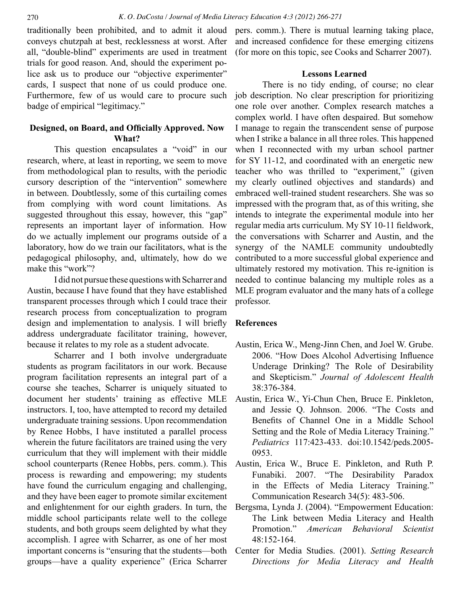traditionally been prohibited, and to admit it aloud conveys chutzpah at best, recklessness at worst. After all, "double-blind" experiments are used in treatment trials for good reason. And, should the experiment police ask us to produce our "objective experimenter" cards, I suspect that none of us could produce one. Furthermore, few of us would care to procure such badge of empirical "legitimacy."

# **Designed, on Board, and Officially Approved. Now What?**

This question encapsulates a "void" in our research, where, at least in reporting, we seem to move from methodological plan to results, with the periodic cursory description of the "intervention" somewhere in between. Doubtlessly, some of this curtailing comes from complying with word count limitations. As suggested throughout this essay, however, this "gap" represents an important layer of information. How do we actually implement our programs outside of a laboratory, how do we train our facilitators, what is the pedagogical philosophy, and, ultimately, how do we make this "work"?

I did not pursue these questions with Scharrer and Austin, because I have found that they have established transparent processes through which I could trace their research process from conceptualization to program design and implementation to analysis. I will briefly address undergraduate facilitator training, however, because it relates to my role as a student advocate.

Scharrer and I both involve undergraduate students as program facilitators in our work. Because program facilitation represents an integral part of a course she teaches, Scharrer is uniquely situated to document her students' training as effective MLE instructors. I, too, have attempted to record my detailed undergraduate training sessions. Upon recommendation by Renee Hobbs, I have instituted a parallel process wherein the future facilitators are trained using the very curriculum that they will implement with their middle school counterparts (Renee Hobbs, pers. comm.). This process is rewarding and empowering; my students have found the curriculum engaging and challenging, and they have been eager to promote similar excitement and enlightenment for our eighth graders. In turn, the middle school participants relate well to the college students, and both groups seem delighted by what they accomplish. I agree with Scharrer, as one of her most important concerns is "ensuring that the students—both groups—have a quality experience" (Erica Scharrer

pers. comm.). There is mutual learning taking place, and increased confidence for these emerging citizens (for more on this topic, see Cooks and Scharrer 2007).

## **Lessons Learned**

There is no tidy ending, of course; no clear job description. No clear prescription for prioritizing one role over another. Complex research matches a complex world. I have often despaired. But somehow I manage to regain the transcendent sense of purpose when I strike a balance in all three roles. This happened when I reconnected with my urban school partner for SY 11-12, and coordinated with an energetic new teacher who was thrilled to "experiment," (given my clearly outlined objectives and standards) and embraced well-trained student researchers. She was so impressed with the program that, as of this writing, she intends to integrate the experimental module into her regular media arts curriculum. My SY 10-11 fieldwork, the conversations with Scharrer and Austin, and the synergy of the NAMLE community undoubtedly contributed to a more successful global experience and ultimately restored my motivation. This re-ignition is needed to continue balancing my multiple roles as a MLE program evaluator and the many hats of a college professor.

# **References**

- Austin, Erica W., Meng-Jinn Chen, and Joel W. Grube. 2006. "How Does Alcohol Advertising Influence Underage Drinking? The Role of Desirability and Skepticism." *Journal of Adolescent Health* 38:376-384.
- Austin, Erica W., Yi-Chun Chen, Bruce E. Pinkleton, and Jessie Q. Johnson. 2006. "The Costs and Benefits of Channel One in a Middle School Setting and the Role of Media Literacy Training." *Pediatrics* 117:423-433. doi:10.1542/peds.2005- 0953.
- Austin, Erica W., Bruce E. Pinkleton, and Ruth P. Funabiki. 2007. "The Desirability Paradox in the Effects of Media Literacy Training." Communication Research 34(5): 483-506.
- Bergsma, Lynda J. (2004). "Empowerment Education: The Link between Media Literacy and Health Promotion." *American Behavioral Scientist* 48:152-164.
- Center for Media Studies. (2001). *Setting Research Directions for Media Literacy and Health*